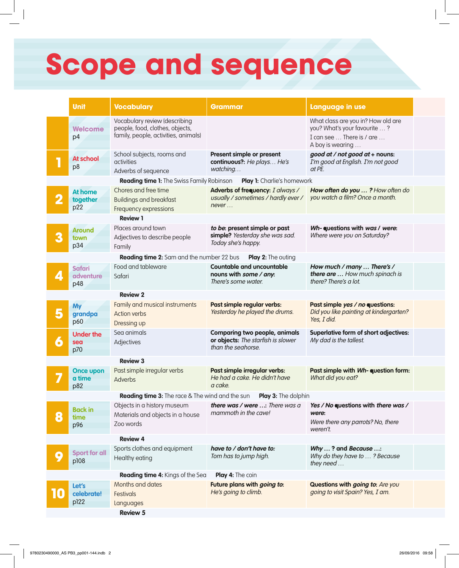## **Scope and sequence**

|                                                                                       | <b>Unit</b>                       | <b>Vocabulary</b>                                                                                        | Grammar                                                                                          | Language in use                                                                                                     |  |  |  |  |
|---------------------------------------------------------------------------------------|-----------------------------------|----------------------------------------------------------------------------------------------------------|--------------------------------------------------------------------------------------------------|---------------------------------------------------------------------------------------------------------------------|--|--|--|--|
|                                                                                       | <b>Welcome</b><br>p4              | Vocabulary review (describing<br>people, food, clothes, objects,<br>family, people, activities, animals) |                                                                                                  | What class are you in? How old are<br>you? What's your favourite ?<br>I can see  There is / are<br>A boy is wearing |  |  |  |  |
|                                                                                       | <b>At school</b><br>p8            | School subjects, rooms and<br>activities<br>Adverbs of sequence                                          | Present simple or present<br>continuous?: He plays He's<br>watching                              | good at / not good at + nouns:<br>I'm good at English. I'm not good<br>at PE.                                       |  |  |  |  |
| <b>Reading time 1:</b> The Swiss Family Robinson<br><b>Play 1:</b> Charlie's homework |                                   |                                                                                                          |                                                                                                  |                                                                                                                     |  |  |  |  |
| 2                                                                                     | <b>At home</b><br>together<br>p22 | Chores and free time<br><b>Buildings and breakfast</b><br>Frequency expressions                          | Adverbs of frequency: I always /<br>usually / sometimes / hardly ever /<br>never                 | How often do you ? How often do<br>you watch a film? Once a month.                                                  |  |  |  |  |
| <b>Review 1</b>                                                                       |                                   |                                                                                                          |                                                                                                  |                                                                                                                     |  |  |  |  |
| 3                                                                                     | <b>Around</b><br>town<br>p34      | Places around town<br>Adjectives to describe people<br>Family                                            | to be: present simple or past<br>simple? Yesterday she was sad.<br>Today she's happy.            | Wh-questions with was / were:<br>Where were you on Saturday?                                                        |  |  |  |  |
| <b>Reading time 2:</b> Sam and the number 22 bus<br><b>Play 2:</b> The outing         |                                   |                                                                                                          |                                                                                                  |                                                                                                                     |  |  |  |  |
| $\mathcal{L}$ .                                                                       | <b>Safari</b><br>adventure<br>p48 | Food and tableware<br>Safari                                                                             | <b>Countable and uncountable</b><br>nouns with some / any:<br>There's some water.                | How much / many  There's /<br>there are  How much spinach is<br>there? There's a lot.                               |  |  |  |  |
| <b>Review 2</b>                                                                       |                                   |                                                                                                          |                                                                                                  |                                                                                                                     |  |  |  |  |
|                                                                                       | <b>My</b><br>grandpa<br>p60       | Family and musical instruments<br><b>Action verbs</b><br>Dressing up                                     | Past simple regular verbs:<br>Yesterday he played the drums.                                     | Past simple yes / no questions:<br>Did you like painting at kindergarten?<br>Yes, I did.                            |  |  |  |  |
|                                                                                       | <b>Under the</b><br>sea<br>p70    | Sea animals<br>Adjectives                                                                                | <b>Comparing two people, animals</b><br>or objects: The starfish is slower<br>than the seahorse. | Superlative form of short adjectives:<br>My dad is the tallest.                                                     |  |  |  |  |
|                                                                                       |                                   | <b>Review 3</b>                                                                                          |                                                                                                  |                                                                                                                     |  |  |  |  |
|                                                                                       | Once upon<br>a time<br>p82        | Past simple irregular verbs<br>Adverbs                                                                   | Past simple irregular verbs:<br>He had a cake. He didn't have<br>a cake.                         | Past simple with Wh-question form:<br>What did you eat?                                                             |  |  |  |  |
|                                                                                       |                                   |                                                                                                          | <b>Reading time 3:</b> The race & The wind and the sun Play 3: The dolphin                       |                                                                                                                     |  |  |  |  |
| 8                                                                                     | <b>Back in</b><br>time            | Objects in a history museum<br>Materials and objects in a house                                          | there was / were : There was a<br>mammoth in the cave!                                           | Yes / No questions with there was /<br>were:                                                                        |  |  |  |  |
|                                                                                       | p96                               | Zoo words                                                                                                |                                                                                                  | Were there any parrots? No, there<br>weren't.                                                                       |  |  |  |  |
|                                                                                       |                                   | <b>Review 4</b>                                                                                          |                                                                                                  |                                                                                                                     |  |  |  |  |
| 9                                                                                     | <b>Sport for all</b><br>p108      | Sports clothes and equipment<br>Healthy eating                                                           | have to / don't have to:<br>Tom has to jump high.                                                | Why ? and Because :<br>Why do they have to ? Because<br>they need                                                   |  |  |  |  |
| Reading time 4: Kings of the Sea<br><b>Play 4:</b> The coin                           |                                   |                                                                                                          |                                                                                                  |                                                                                                                     |  |  |  |  |
|                                                                                       | Let's<br>celebrate!<br>p122       | Months and dates<br>Festivals                                                                            | Future plans with <i>going to</i> :<br>He's going to climb.                                      | Questions with going to: Are you<br>going to visit Spain? Yes, I am.                                                |  |  |  |  |
|                                                                                       |                                   | Languages<br><b>Review 5</b>                                                                             |                                                                                                  |                                                                                                                     |  |  |  |  |